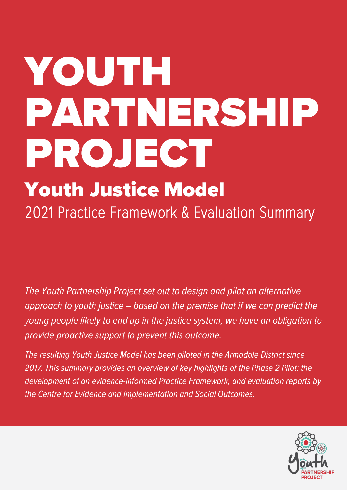# YOUTH PARTNERSHIP PROJECT

# Youth Justice Model 2021 Practice Framework & Evaluation Summary

The Youth Partnership Project set out to design and pilot an alternative approach to youth justice – based on the premise that if we can predict the young people likely to end up in the justice system, we have an obligation to provide proactive support to prevent this outcome.

The resulting Youth Justice Model has been piloted in the Armadale District since 2017. This summary provides an overview of key highlights of the Phase 2 Pilot: the development of an evidence-informed Practice Framework, and evaluation reports by the Centre for Evidence and Implementation and Social Outcomes.

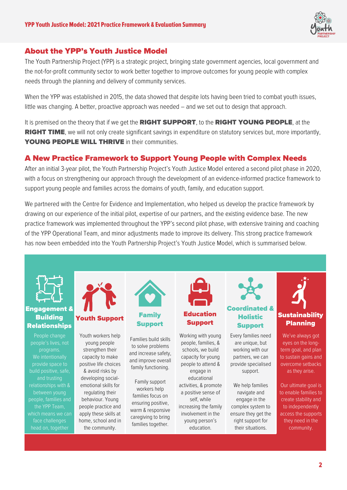

# About the YPP's Youth Justice Model

The Youth Partnership Project (YPP) is a strategic project, bringing state government agencies, local government and the not-for-profit community sector to work better together to improve outcomes for young people with complex needs through the planning and delivery of community services.

When the YPP was established in 2015, the data showed that despite lots having been tried to combat youth issues, little was changing. A better, proactive approach was needed – and we set out to design that approach.

It is premised on the theory that if we get the **RIGHT SUPPORT**, to the **RIGHT YOUNG PEOPLE**, at the RIGHT TIME, we will not only create significant savings in expenditure on statutory services but, more importantly, YOUNG PEOPLE WILL THRIVE in their communities.

# A New Practice Framework to Support Young People with Complex Needs

After an initial 3-year pilot, the Youth Partnership Project's Youth Justice Model entered a second pilot phase in 2020, with a focus on strengthening our approach through the development of an evidence-informed practice framework to support young people and families across the domains of youth, family, and education support.

We partnered with the Centre for Evidence and Implementation, who helped us develop the practice framework by drawing on our experience of the initial pilot, expertise of our partners, and the existing evidence base. The new practice framework was implemented throughout the YPP's second pilot phase, with extensive training and coaching of the YPP Operational Team, and minor adjustments made to improve its delivery. This strong practice framework has now been embedded into the Youth Partnership Project's Youth Justice Model, which is summarised below.

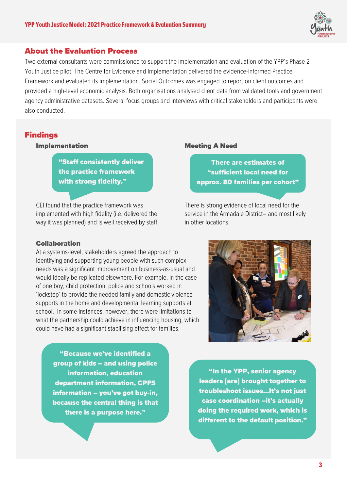

### About the Evaluation Process

Two external consultants were commissioned to support the implementation and evaluation of the YPP's Phase 2 Youth Justice pilot. The Centre for Evidence and Implementation delivered the evidence-informed Practice Framework and evaluated its implementation. Social Outcomes was engaged to report on client outcomes and provided a high-level economic analysis. Both organisations analysed client data from validated tools and government agency administrative datasets. Several focus groups and interviews with critical stakeholders and participants were also conducted.

## Findings

#### Implementation

"Staff consistently deliver the practice framework with strong fidelity."

CEI found that the practice framework was implemented with high fidelity (i.e. delivered the way it was planned) and is well received by staff.

#### Collaboration

At a systems-level, stakeholders agreed the approach to identifying and supporting young people with such complex needs was a significant improvement on business-as-usual and would ideally be replicated elsewhere. For example, in the case of one boy, child protection, police and schools worked in 'lockstep' to provide the needed family and domestic violence supports in the home and developmental learning supports at school. In some instances, however, there were limitations to what the partnership could achieve in influencing housing, which could have had a significant stabilising effect for families.

"Because we've identified a group of kids – and using police information, education department information, CPFS information – you've got buy-in, because the central thing is that there is a purpose here."

#### Meeting A Need

There are estimates of "sufficient local need for approx. 80 families per cohort"

There is strong evidence of local need for the service in the Armadale District– and most likely in other locations.



"In the YPP, senior agency leaders [are] brought together to troubleshoot issues...It's not just case coordination –it's actually doing the required work, which is different to the default position."